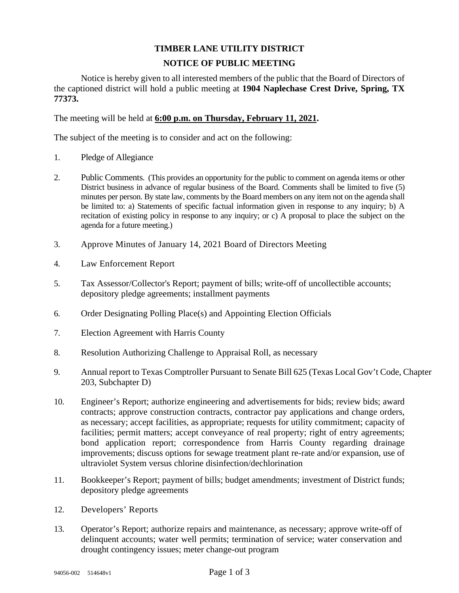## **TIMBER LANE UTILITY DISTRICT NOTICE OF PUBLIC MEETING**

Notice is hereby given to all interested members of the public that the Board of Directors of the captioned district will hold a public meeting at **1904 Naplechase Crest Drive, Spring, TX 77373.** 

The meeting will be held at **6:00 p.m. on Thursday, February 11, 2021.**

The subject of the meeting is to consider and act on the following:

- 1. Pledge of Allegiance
- 2. Public Comments. (This provides an opportunity for the public to comment on agenda items or other District business in advance of regular business of the Board. Comments shall be limited to five (5) minutes per person. By state law, comments by the Board members on any item not on the agenda shall be limited to: a) Statements of specific factual information given in response to any inquiry; b) A recitation of existing policy in response to any inquiry; or c) A proposal to place the subject on the agenda for a future meeting.)
- 3. Approve Minutes of January 14, 2021 Board of Directors Meeting
- 4. Law Enforcement Report
- 5. Tax Assessor/Collector's Report; payment of bills; write-off of uncollectible accounts; depository pledge agreements; installment payments
- 6. Order Designating Polling Place(s) and Appointing Election Officials
- 7. Election Agreement with Harris County
- 8. Resolution Authorizing Challenge to Appraisal Roll, as necessary
- 9. Annual report to Texas Comptroller Pursuant to Senate Bill 625 (Texas Local Gov't Code, Chapter 203, Subchapter D)
- 10. Engineer's Report; authorize engineering and advertisements for bids; review bids; award contracts; approve construction contracts, contractor pay applications and change orders, as necessary; accept facilities, as appropriate; requests for utility commitment; capacity of facilities; permit matters; accept conveyance of real property; right of entry agreements; bond application report; correspondence from Harris County regarding drainage improvements; discuss options for sewage treatment plant re-rate and/or expansion, use of ultraviolet System versus chlorine disinfection/dechlorination
- 11. Bookkeeper's Report; payment of bills; budget amendments; investment of District funds; depository pledge agreements
- 12. Developers' Reports
- 13. Operator's Report; authorize repairs and maintenance, as necessary; approve write-off of delinquent accounts; water well permits; termination of service; water conservation and drought contingency issues; meter change-out program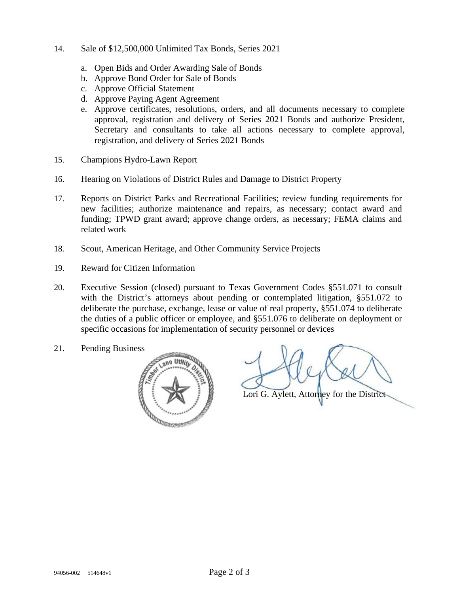- 14. Sale of \$12,500,000 Unlimited Tax Bonds, Series 2021
	- a. Open Bids and Order Awarding Sale of Bonds
	- b. Approve Bond Order for Sale of Bonds
	- c. Approve Official Statement
	- d. Approve Paying Agent Agreement
	- e. Approve certificates, resolutions, orders, and all documents necessary to complete approval, registration and delivery of Series 2021 Bonds and authorize President, Secretary and consultants to take all actions necessary to complete approval, registration, and delivery of Series 2021 Bonds
- 15. Champions Hydro-Lawn Report
- 16. Hearing on Violations of District Rules and Damage to District Property
- 17. Reports on District Parks and Recreational Facilities; review funding requirements for new facilities; authorize maintenance and repairs, as necessary; contact award and funding; TPWD grant award; approve change orders, as necessary; FEMA claims and related work
- 18. Scout, American Heritage, and Other Community Service Projects
- 19. Reward for Citizen Information
- 20. Executive Session (closed) pursuant to Texas Government Codes §551.071 to consult with the District's attorneys about pending or contemplated litigation, §551.072 to deliberate the purchase, exchange, lease or value of real property, §551.074 to deliberate the duties of a public officer or employee, and §551.076 to deliberate on deployment or specific occasions for implementation of security personnel or devices
- 21. Pending Business



Lori G. Aylett, Attorney for the District